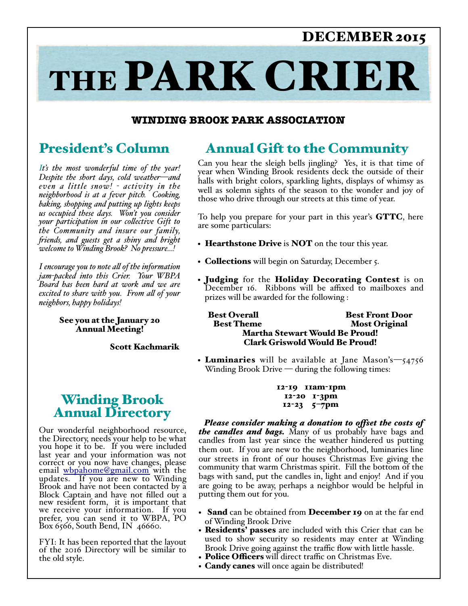### DECEMBER 2015

# THE PARK CRIER

### **WINDING BROOK PARK ASSOCIATION**

### President's Column

*It's the most wonderful time of the year! Despite the short days, cold weather—and even a little snow! - activity in the neighborhood is at a fever pitch. Cooking, baking, shopping and putting up lights keeps us occupied these days. Won't you consider your participation in our colective Gift to the Community and insure our family, fiends, and guests get a shiny and bright welcome to Winding Brook? No pressure…!*

*I encourage you to note al of the information jam-packed into this Crier. Your WBPA Board has been hard at work and we are excited to share with you. From al of your neighbors, happy holidays!*

### See you at the January 20 Annual Meeting!

Scott Kachmarik

### Winding Brook Annual Directory

Our wonderful neighborhood resource, the Directory, needs your help to be what you hope it to be. If you were included last year and your information was not correct or you now have changes, please email whpahome@gmail.com with the updates. If you are new to Winding Brook and have not been contacted by a Block Captain and have not filled out a new resident form, it is important that we receive your information. If you prefer, you can send it to WBPA, PO Box 6566, South Bend, IN 46660.

FYI: It has been reported that the layout of the 2016 Directory will be similar to the old style.

### Annual Gift to the Community

Can you hear the sleigh bells jingling? Yes, it is that time of year when Winding Brook residents deck the outside of their halls with bright colors, sparkling lights, displays of whimsy as well as solemn sights of the season to the wonder and joy of those who drive through our streets at this time of year.

To help you prepare for your part in this year's **GTTC**, here are some particulars:

- Hearthstone Drive is NOT on the tour this year.
- Collections will begin on Saturday, December 5.
- Judging for the Holiday Decorating Contest is on December 16. Ribbons will be affixed to mailboxes and prizes will be awarded for the following :

Best Overall Best Front Door **Most Original** Martha Stewart Would Be Proud! Clark Griswold Would Be Proud!

• Luminaries will be available at Jane Mason's— $54756$ Winding Brook Drive  $-$  during the following times:

> 12-19 11am-1pm 12-20 1-3pm 12-23 5–7pm

 *Please consider making a donation to ofset the costs of the candles and bags.* Many of us probably have bags and candles from last year since the weather hindered us putting them out. If you are new to the neighborhood, luminaries line our streets in front of our houses Christmas Eve giving the community that warm Christmas spirit. Fill the bottom of the bags with sand, put the candles in, light and enjoy! And if you are going to be away, perhaps a neighbor would be helpful in putting them out for you.

- Sand can be obtained from December 19 on at the far end of Winding Brook Drive
- Residents' passes are included with this Crier that can be used to show security so residents may enter at Winding Brook Drive going against the traffic flow with little hassle.
- Police Officers will direct traffic on Christmas Eve.
- **Candy canes** will once again be distributed!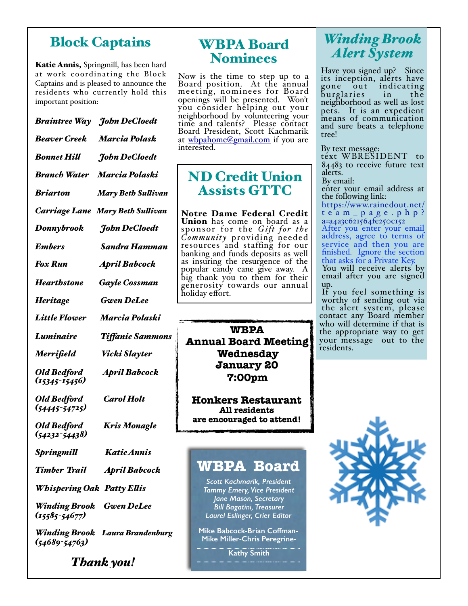### Block Captains

Katie Annis, Springmill, has been hard at work coordinating the Block Captains and is pleased to announce the residents who currently hold this important position:

*Braintree Way John DeCloedt Beaver Creek Marcia Polask Bonnet Hil John DeCloedt Branch Water Marcia Polaski Briarton Mary Beth Sulivan Carriage Lane Mary Beth Sulivan Donnybrook John DeCloedt Embers Sandra Hamman Fox Run April Babcock Hearthstone Gayle Cossman Heritage Gwen DeLee Little Flower Marcia Polaski Luminaire Tifanie Sammons Merrifield Vicki Slayter Old Bedford April Babcock (15345-15456) Old Bedford Carol Holt (54445-54725) Old Bedford Kris Monagle (54232-54438) Springmil Katie Annis Timber Trail April Babcock Whispering Oak Patty Elis Winding Brook Gwen DeLee (15585-54677)*

*Winding Brook Laura Brandenburg (54689-54763)*

*Thank you!*

### WBPA Board Nominees

Now is the time to step up to a Board position. At the annual meeting, nominees for Board openings will be presented. Won't you consider helping out your neighborhood by volunteering your time and talents? Please contact Board President, Scott Kachmarik at [wbpahome@gmail.com](mailto:wbpahome@gmail.com) if you are in[terested.](mailto:wbpahome@gmail.com)

### ND Credit Union Assists GTTC

Notre Dame Federal Credit Union has come on board as a sponsor for the *Gift for the Community* providing needed resources and staffing for our banking and funds deposits as well as insuring the resurgence of the popular candy cane give away. A big thank you to them for their generosity towards our annual holiday effort.

**WBPA Annual Board Meeting Wednesday January 20 7:00pm** 

**Honkers Restaurant All residents are encouraged to attend!**

### **WBPA Board**

*Scott Kachmarik, President Tammy Emery, Vice President Jane Mason, Secretary Bill Bagatini, Treasurer Laurel Eslinger, Crier Editor* 

**Mike Babcock-Brian Coffman-Mike Miller-Chris Peregrine-**

**Kathy Smith**

### *Winding Brook Alert System*

Have you signed up? Since its inception, alerts have gone out indicating burglaries in the neighborhood as well as lost pets. It is an expedient means of communication and sure beats a telephone tree!

By text message:

text WBRESIDENT to 84483 to receive future text alerts.

By email:

enter your email address at the following link:

[https://www.rainedout.net/](https://www.rainedout.net/team_page.php?a=a4a3c621564fe250c152) team\_page.php? a=a4a3c621564fe250c152 After you enter your email address, agree to terms of service and then you are finished. Ignore the section that asks for a Private Key.

You will receive alerts by email after you are signed up.

If you feel something is worthy of sending out via the alert system, please contact any Board member who will determine if that is the appropriate way to get your message out to the residents.

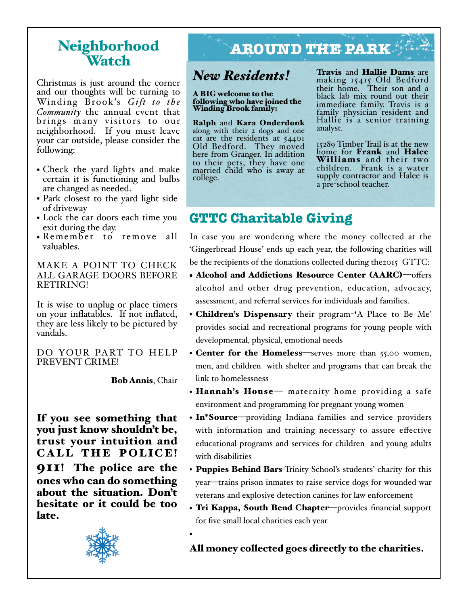## Watch

Christmas is just around the corner and our thoughts will be turning to Winding Brook's *Gift to the Community* the annual event that brings many visitors to our neighborhood. If you must leave your car outside, please consider the following:

- Check the yard lights and make certain it is functioning and bulbs are changed as needed.
- Park closest to the yard light side of driveway
- Lock the car doors each time you exit during the day.
- Remember to remove all valuables.

MAKE A POINT TO CHECK ALL GARAGE DOORS BEFORE RETIRING!

It is wise to unplug or place timers on your inflatables. If not inflated, they are less likely to be pictured by vandals.

DO YOUR PART TO HELP PREVENT CRIME!

Bob Annis, Chair

•

If you see something that you just know shouldn't be, trust your intuition and CALL THE POLICE! 911! The police are the ones who can do something about the situation. Don't hesitate or it could be too late.



### Neighborhood **AROUND THE PARK**

### *New Residents!*

#### A BIG welcome to the following who have joined the Winding Brook family:

Ralph and Kara Onderdonk along with their 2 dogs and one cat are the residents at 54401 Old Bedford. They moved here from Granger. In addition to their pets, they have one married child who is away at college.

Travis and Hallie Dams are making 15415 Old Bedford their home. Their son and a black lab mix round out their immediate family. Travis is a family physician resident and Hallie is a senior training analyst.

15289 Timber Trail is at the new home for Frank and Halee Williams and their two children. Frank is a water supply contractor and Halee is a pre-school teacher.

### **GTTC Charitable Giving**

In case you are wondering where the money collected at the 'Gingerbread House' ends up each year, the following charities will be the recipients of the donations collected during the2015 GTTC:

- Alcohol and Addictions Resource Center (AARC)—offers alcohol and other drug prevention, education, advocacy, assessment, and referral services for individuals and families.
- Children's Dispensary their program-'A Place to Be Me' provides social and recreational programs for young people with developmental, physical, emotional needs
- Center for the Homeless—serves more than 55,00 women, men, and children with shelter and programs that can break the link to homelessness
- Hannah's House maternity home providing a safe environment and programming for pregnant young women
- In\*Source—providing Indiana families and service providers with information and training necessary to assure effective educational programs and services for children and young adults with disabilities
- Puppies Behind Bars-Trinity School's students' charity for this year—trains prison inmates to raise service dogs for wounded war veterans and explosive detection canines for law enforcement
- Tri Kappa, South Bend Chapter-provides financial support for five small local charities each year

### All money collected goes directly to the charities.